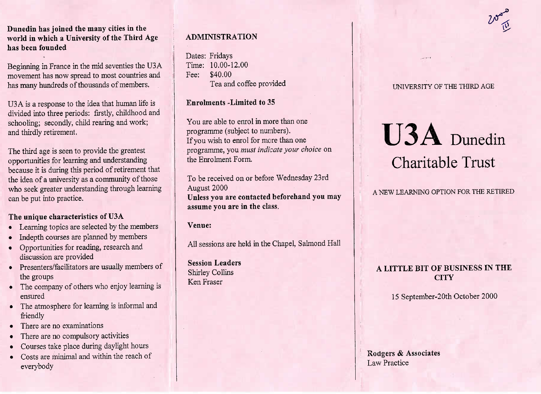**Dunedin has joined the many cities in the world in which a University of the Third Agehas been founded**

Beginning in France in the mid seventies the U3A movement has now spread to most countries andhas many hundreds of thousands of members.

USA is a response to the idea that human life is divided into three periods: firstly, childhood andschooling; secondly, child rearing and work;and thirdly retirement.

The third age is seen to provide the greatest opportunities for learning and understanding because it is during this period of retirement thatthe idea of a university as a community of those who seek greater understanding through learningcan be put into practice.

## **The unique characteristics of U3A**

- Learning topics are selected by the members
- Indepth courses are planned by members
- Opportunities for reading, research anddiscussion are provided
- Presenters/facilitators are usually members of the groups
- The company of others who enjoy learning isensured
- The atmosphere for learning is informal andfriendly
- There are no examinations
- There are no compulsory activities
- Courses take place during daylight hours
- Costs are minimal and within the reach ofeverybody

# **ADMINISTRATION**

Dates: Fridays Time: 10.00-12.00Fee: \$40.00Tea and coffee provided

## **Enrolments -Limited to** 35

You are able to enrol in more than oneprogramme (subject to numbers). If you wish to enrol for more than one programme, you *must indicate your choice* onthe Enrolment Form.

To be received on or before Wednesday 23rdAugust 2000 **Unless you are contacted beforehand you mayassume you are in the class.**

## **Venue:**

All sessions are held in the Chapel, Salmond Hall

**Session Leaders**Shirley CollinsKen Fraser

## **INIVERSITY OF THE THIRD AGE**

# **U3A** Dunedin Charitable Trust

# A NEW LEARNING OPTION **FOR THE RETIRED**

# **A LITTLE BIT OF BUSINESS IN THECITY**

15 September-20th October 2000

**Rodgers & Associates**Law Practice